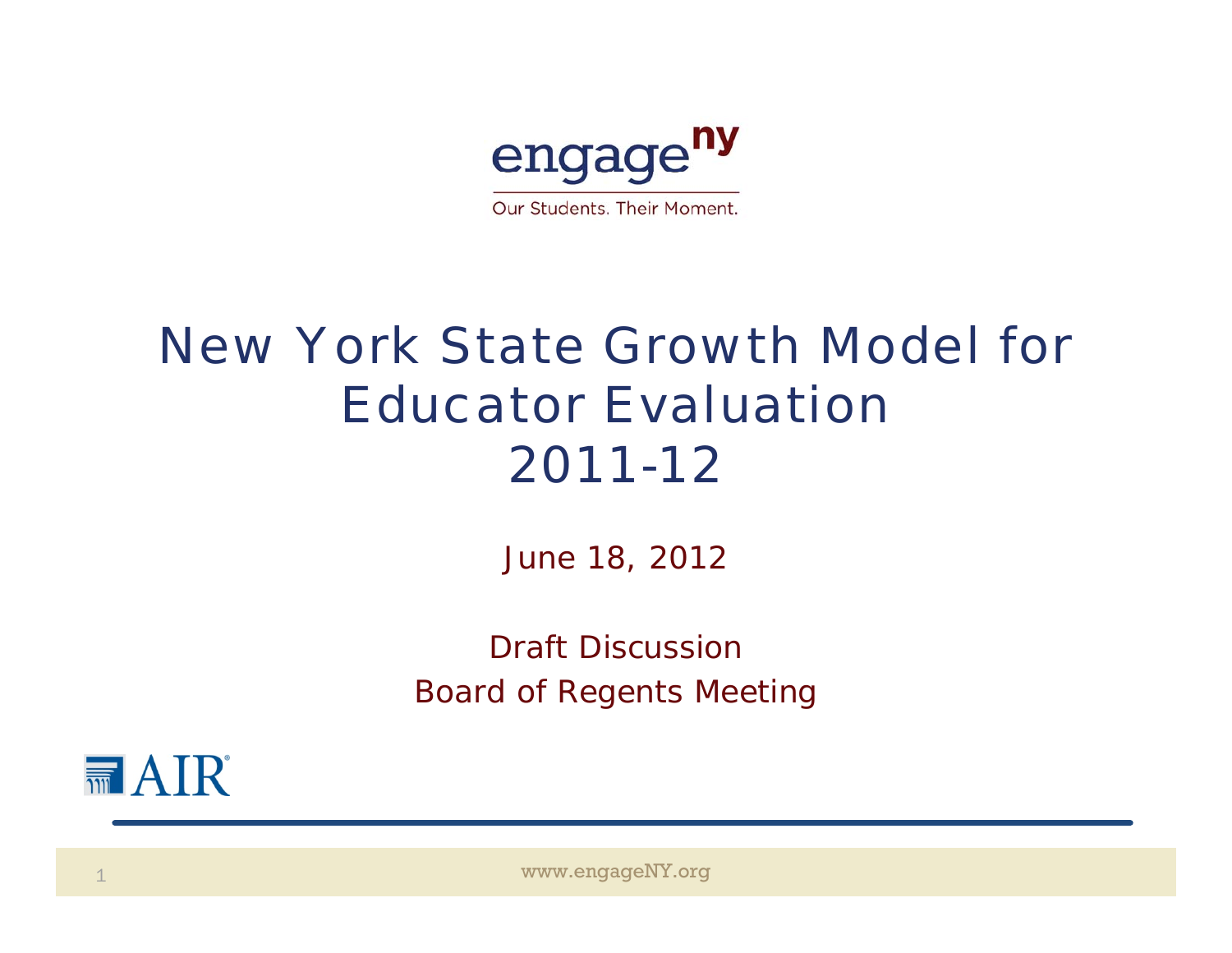

## *New York State Growth Model for Educator Evaluation2011-12*

June 18, 2012

Draft DiscussionBoard of Regents Meeting



www.engageNY.org www.engageNY.org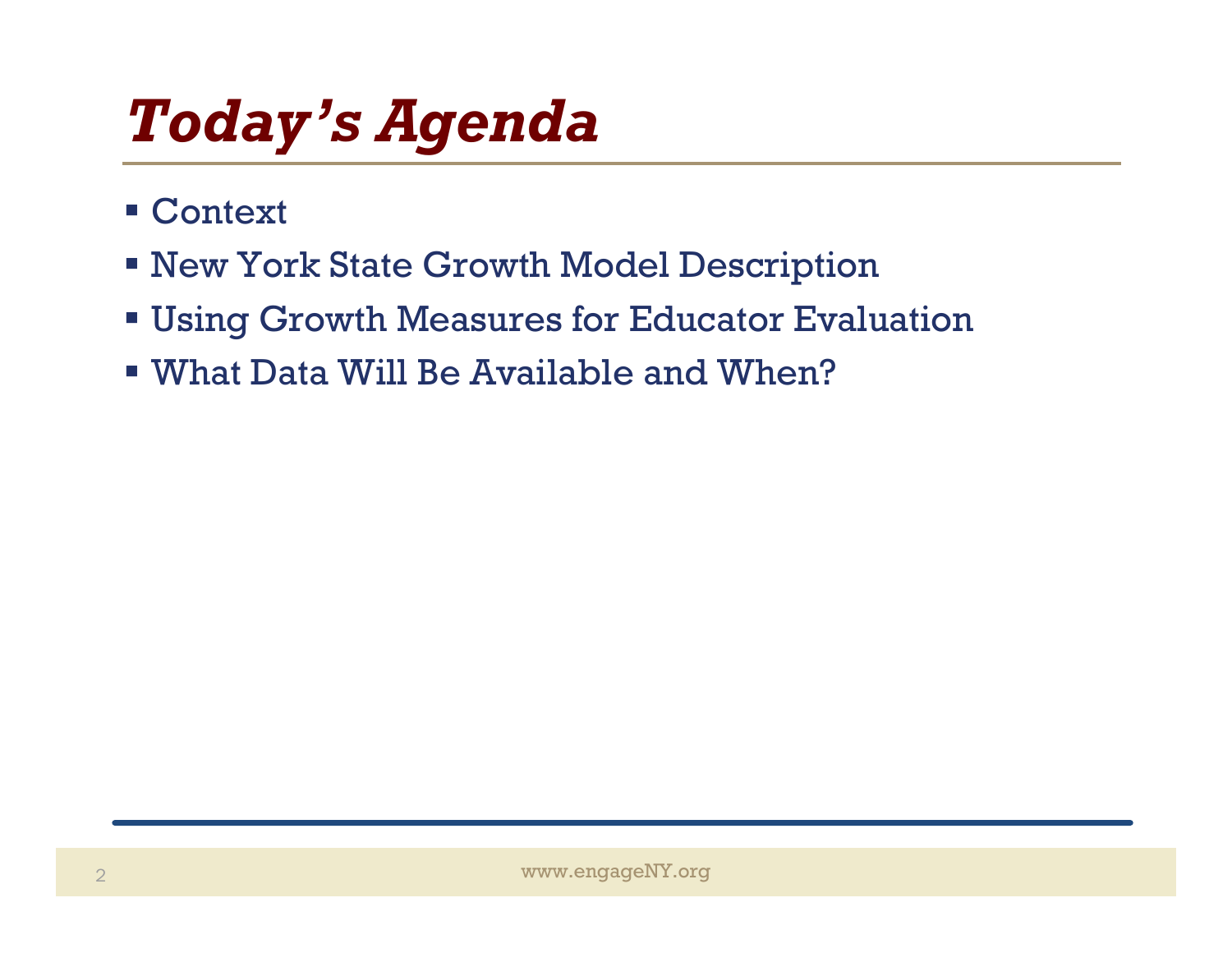## *Today's Agenda*

- Context
- New York State Growth Model Description
- Using Growth Measures for Educator Evaluation
- What Data Will Be Available and When?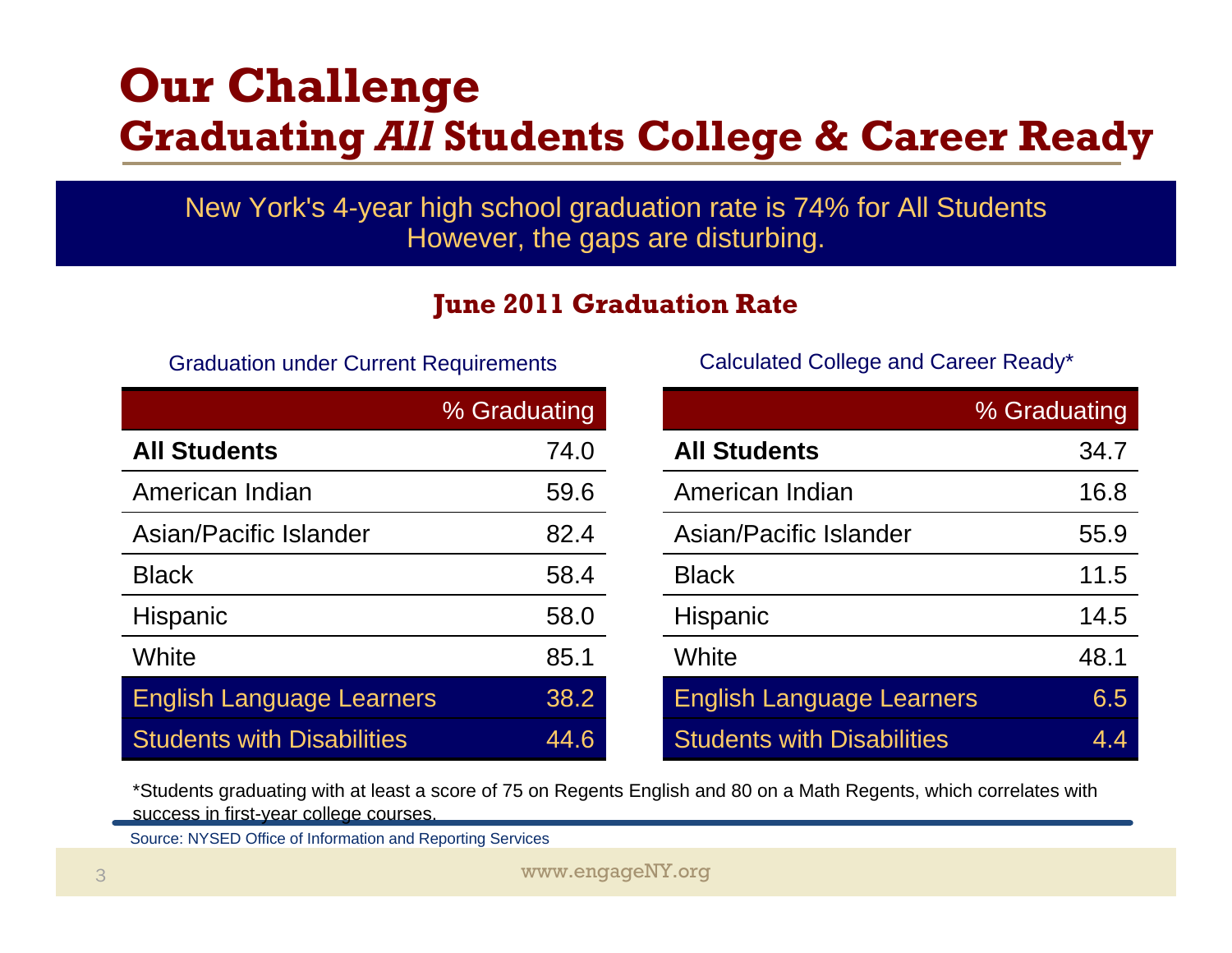#### **Our Challenge Graduating** *All* **Students College & Career Ready**

New York's 4-year high school graduation rate is 74% for All Students However, the gaps are disturbing.

#### **June 2011 Graduation Rate**

|                                   | % Graduating | % Graduating                             |
|-----------------------------------|--------------|------------------------------------------|
| <b>All Students</b>               | 74.0         | 34.7<br><b>All Students</b>              |
| American Indian                   | 59.6         | 16.8<br>American Indian                  |
| Asian/Pacific Islander            | 82.4         | Asian/Pacific Islander<br>55.9           |
| <b>Black</b>                      | 58.4         | 11.5<br><b>Black</b>                     |
| <b>Hispanic</b>                   | 58.0         | 14.5<br>Hispanic                         |
| <b>White</b>                      | 85.1         | 48.1<br>White                            |
| <b>English Language Learners</b>  | 38.2         | <b>English Language Learners</b><br>6.5  |
| <b>Students with Disabilities</b> | 44.6         | <b>Students with Disabilities</b><br>4.4 |

Graduation under Current Requirements Calculated College and Career Ready\*

|                 | % Graduating |                                   | % Graduating |
|-----------------|--------------|-----------------------------------|--------------|
| S               | 74.0         | <b>All Students</b>               | 34.7         |
| dian            | 59.6         | American Indian                   | 16.8         |
| c Islander      | 82.4         | Asian/Pacific Islander            | 55.9         |
|                 | 58.4         | <b>Black</b>                      | 11.5         |
|                 | 58.0         | <b>Hispanic</b>                   | 14.5         |
|                 | 85.1         | White                             | 48.1         |
| guage Learners  | 38.2         | <b>English Language Learners</b>  | 6.5          |
| th Disabilities | 44.6         | <b>Students with Disabilities</b> | 4.4          |

\*Students graduating with at least a score of 75 on Regents English and 80 on a Math Regents, which correlates with success in first-year college courses.

Source: NYSED Office of Information and Reporting Services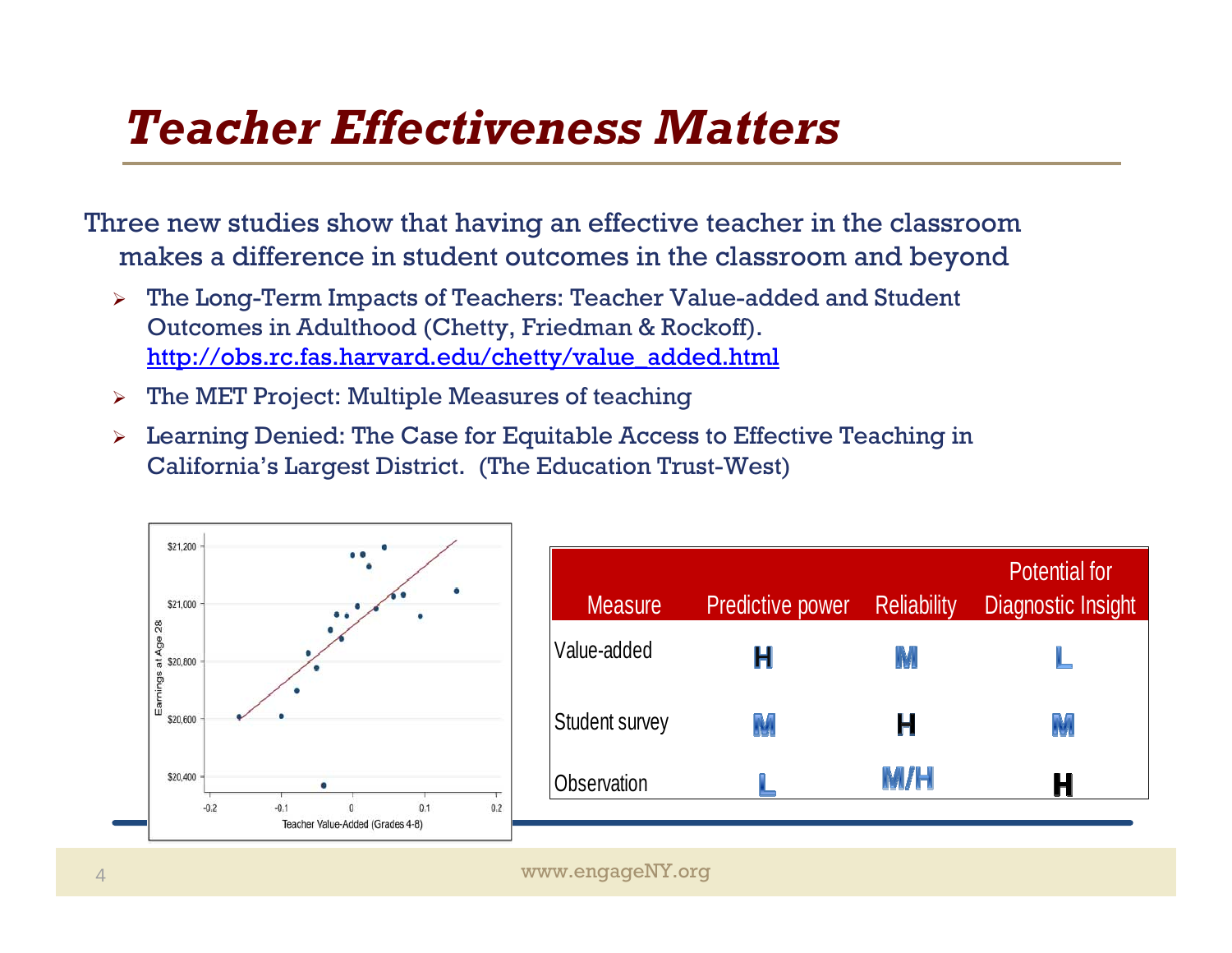## *Teacher Effectiveness Matters*

Three new studies show that having an effective teacher in the classroom makes a difference in student outcomes in the classroom and beyond

- ➤ The Long-Term Impacts of Teachers: Teacher Value-added and Student Outcomes in Adulthood (Chetty, Friedman & Rockoff). http://obs.rc.fas.harvard.edu/chetty/value\_added.html
- $\triangleright$  The MET Project: Multiple Measures of teaching
- $\blacktriangleright$  Learning Denied: The Case for Equitable Access to Effective Teaching in California's Largest District. (The Education Trust-West)

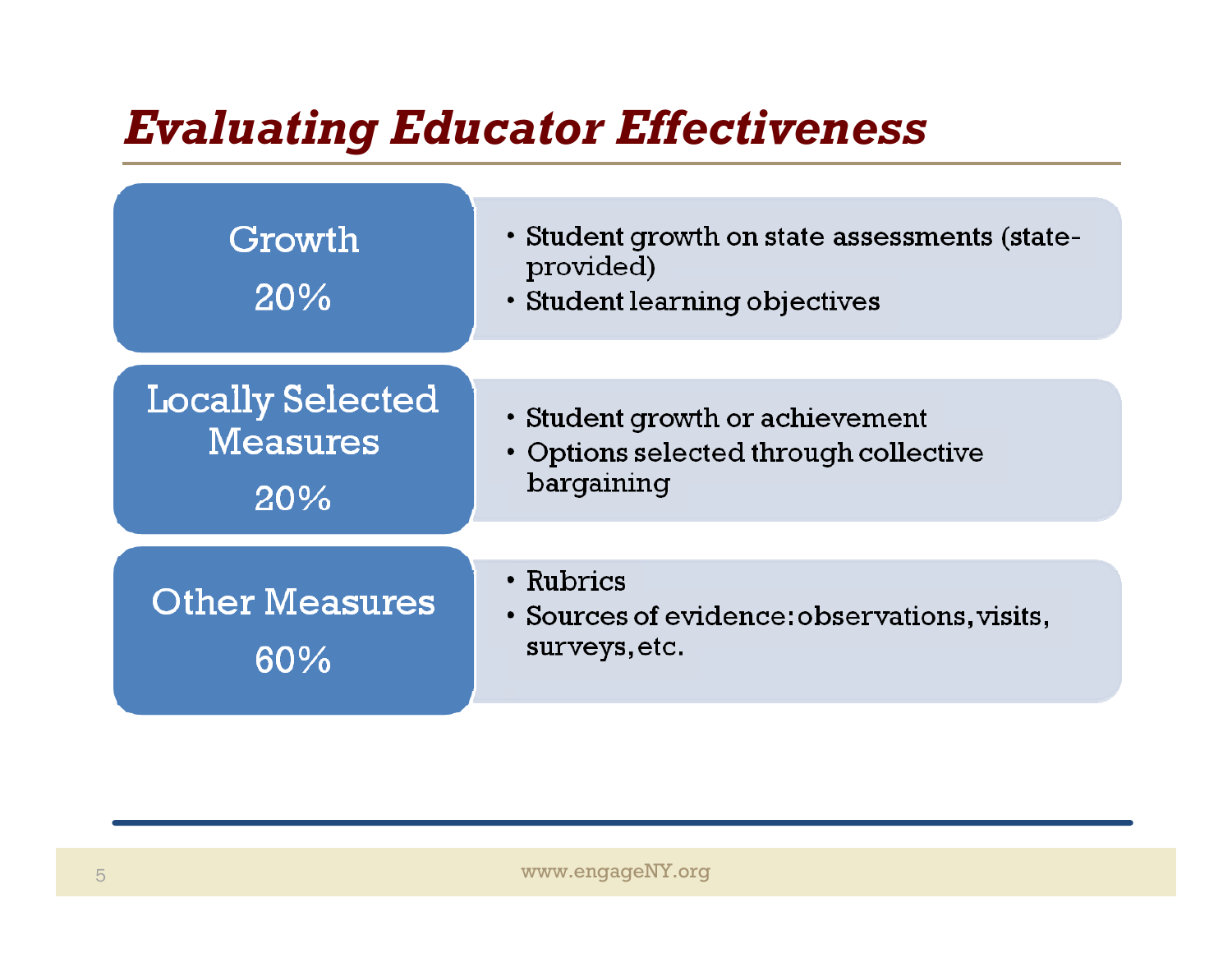## *Evaluating Educator Effectiveness*

| Growth<br>20%                                     | • Student growth on state assessments (state-<br>provided)<br>• Student learning objectives |
|---------------------------------------------------|---------------------------------------------------------------------------------------------|
|                                                   |                                                                                             |
| <b>Locally Selected</b><br><b>Measures</b><br>20% | • Student growth or achievement<br>• Options selected through collective<br>bargaining      |
|                                                   |                                                                                             |
| <b>Other Measures</b><br>60%                      | • Rubrics<br>• Sources of evidence: observations, visits,<br>surveys, etc.                  |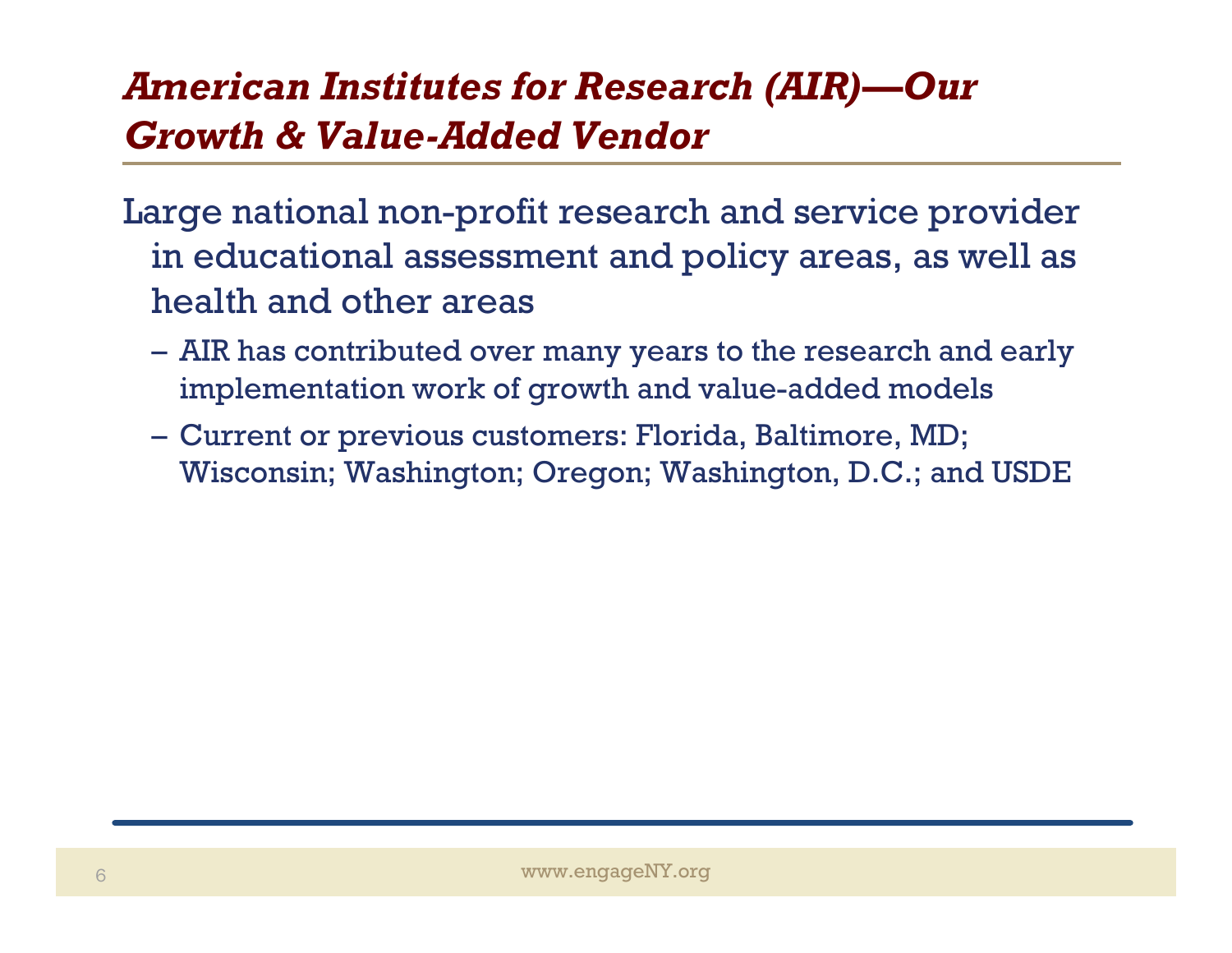#### *American Institutes for Research (AIR)—Our Growth & Value-Added Vendor*

Large national non-profit research and service provider in educational assessment and policy areas, as well as health and other areas

- AIR has contributed over many years to the research and early implementation work of growth and value-added models
- Current or previous customers: Florida, Baltimore, MD; Wisconsin; Washington; Oregon; Washington, D.C.; and USDE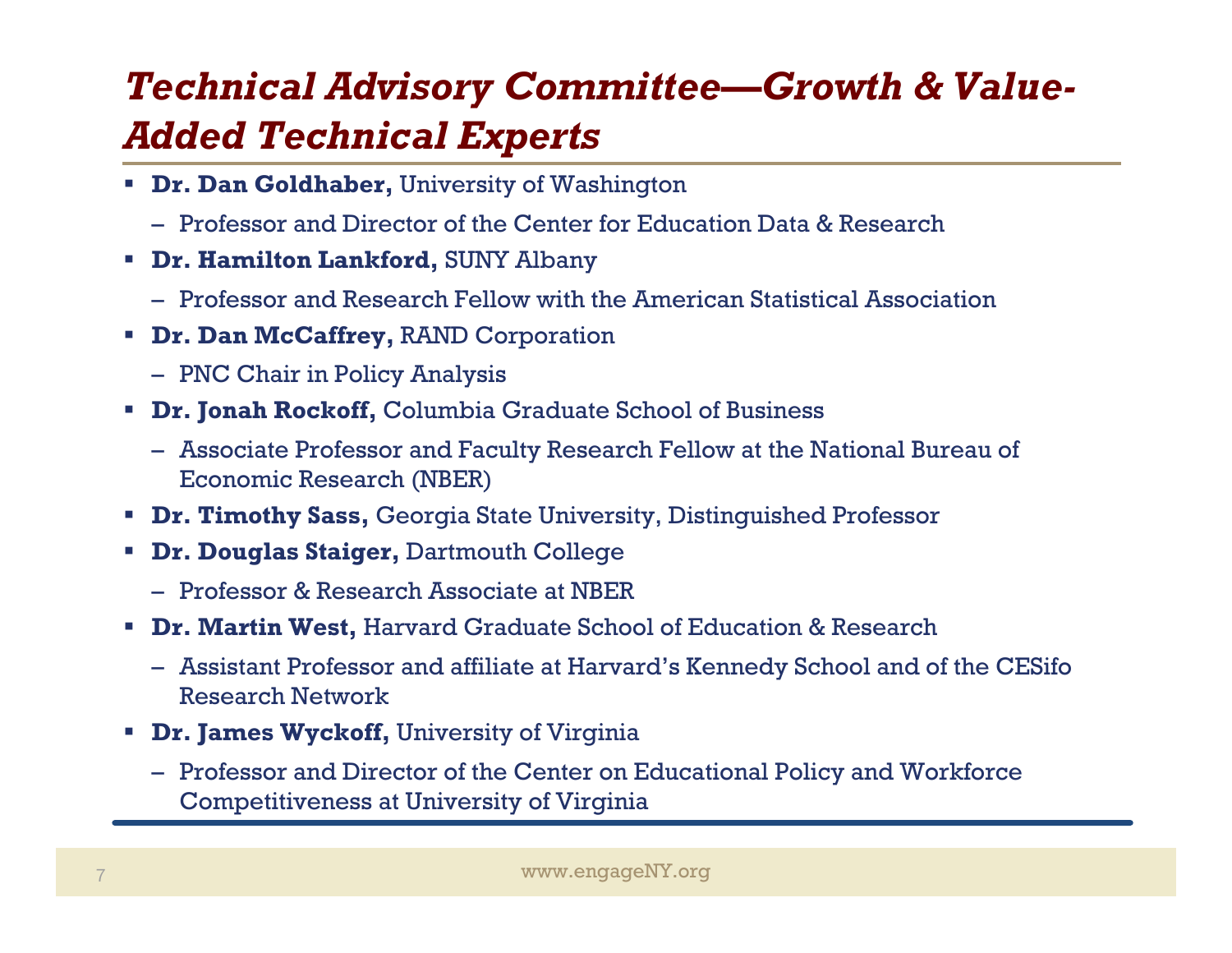#### *Technical Advisory Committee—Growth & Value-Added Technical Experts*

- **Dr. Dan Goldhaber,** University of Washington
	- Professor and Director of the Center for Education Data & Research
- **Dr. Hamilton Lankford,** SUNY Albany
	- Professor and Research Fellow with the American Statistical Association
- **Dr. Dan McCaffrey,** RAND Corporation
	- PNC Chair in Policy Analysis
- **Dr. Jonah Rockoff, Columbia Graduate School of Business** 
	- Associate Professor and Faculty Research Fellow at the National Bureau of Economic Research (NBER)
- **Dr. Timothy Sass,** Georgia State University, Distinguished Professor
- **Dr. Douglas Staiger,** Dartmouth College
	- Professor & Research Associate at NBER
- **Dr. Martin West,** Harvard Graduate School of Education & Research
	- Assistant Professor and affiliate at Harvard's Kennedy School and of the CESifo Research Network
- **Dr. James Wyckoff,** University of Virginia
	- Professor and Director of the Center on Educational Policy and Workforce Competitiveness at University of Virginia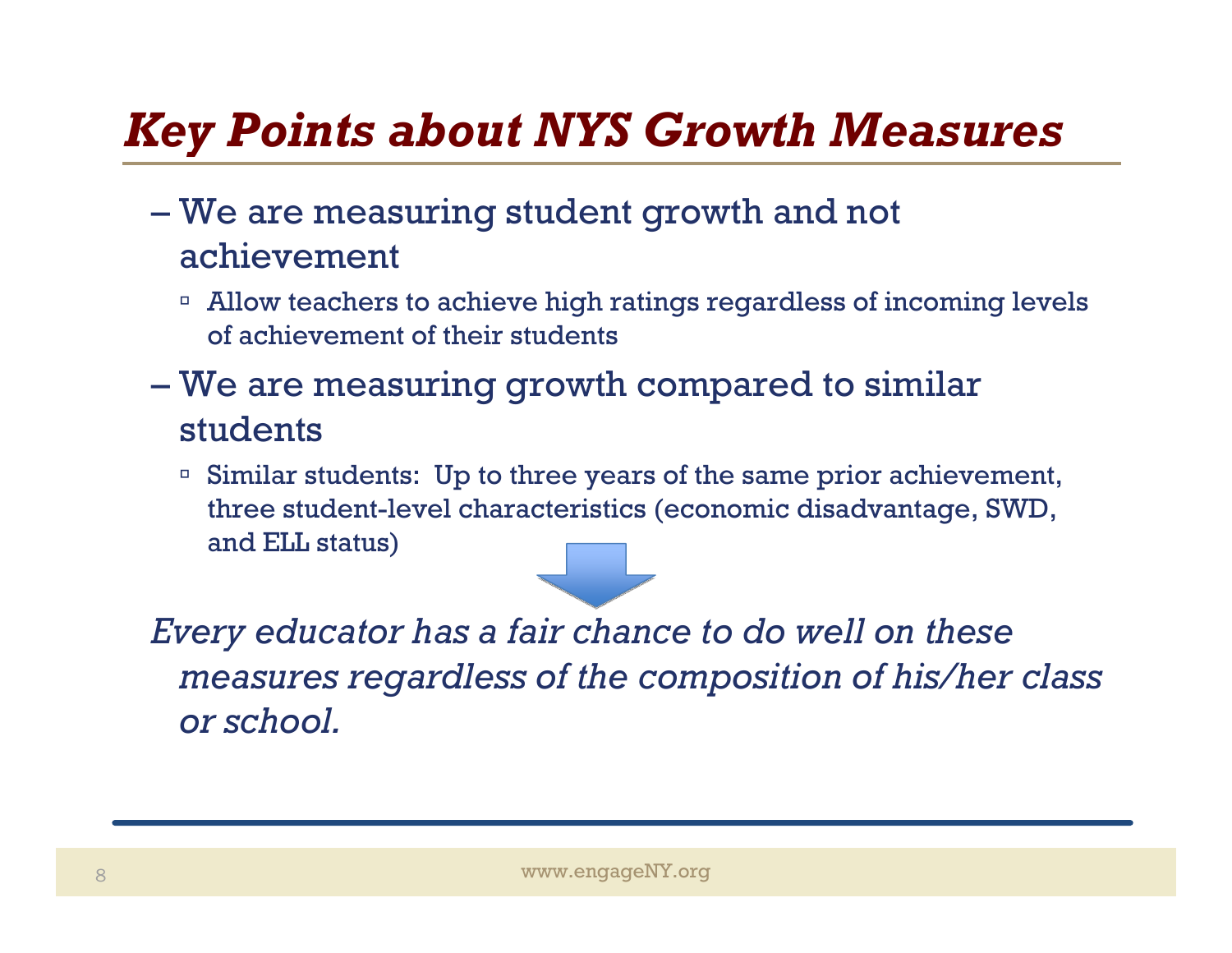## *Key Points about NYS Growth Measures*

- – We are measuring student growth and not achievement
	- □ Allow teachers to achieve high ratings regardless of incoming levels of achievement of their students
- We are measuring growth compared to similar students
	- Similar students: Up to three years of the same prior achievement, three student-level characteristics (economic disadvantage, SWD, and ELL status)

*Every educator has a fair chance to do well on these measures regardless of the composition of his/her class or school.*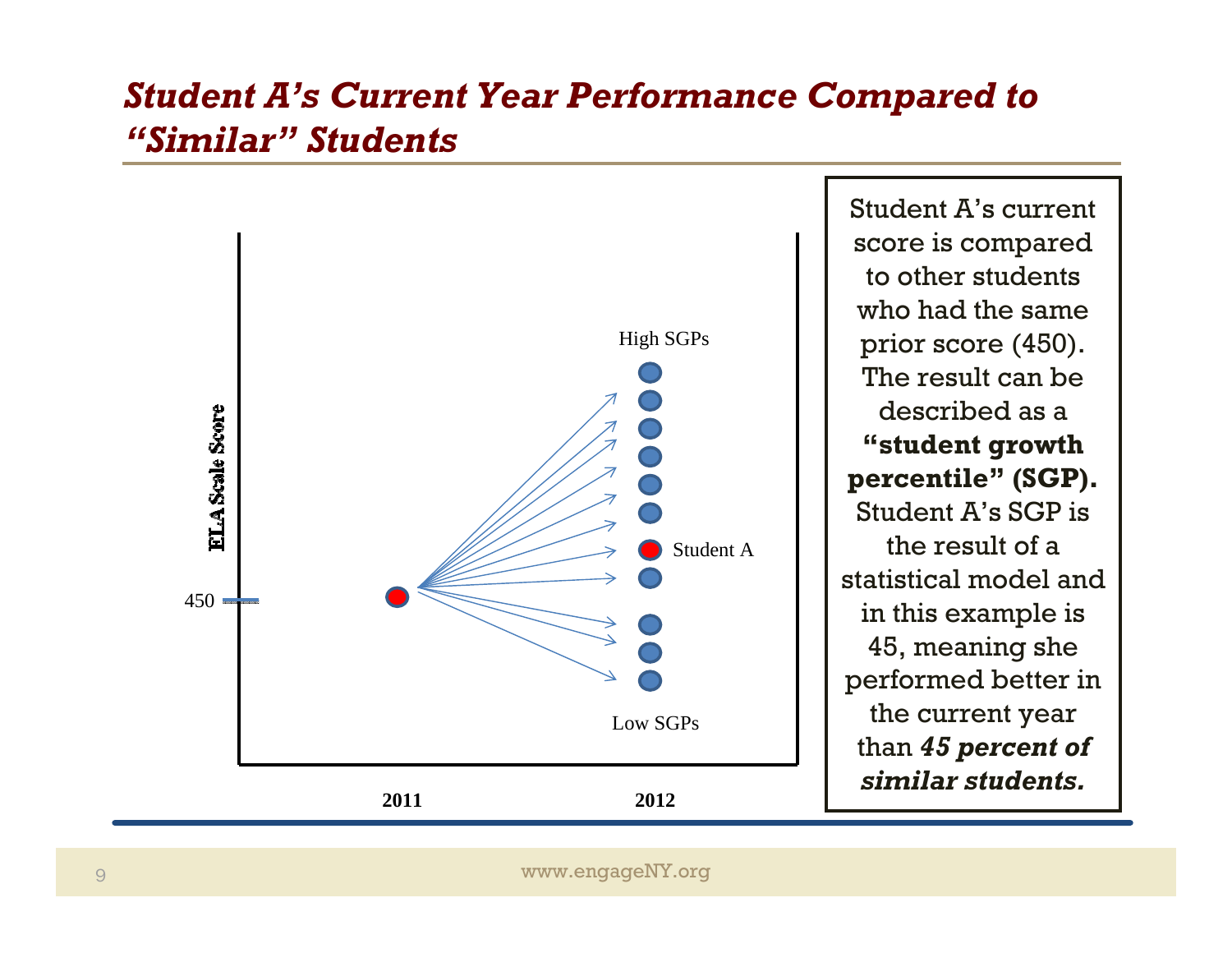#### *Student A's Current Year Performance Compared to "Similar" Students*

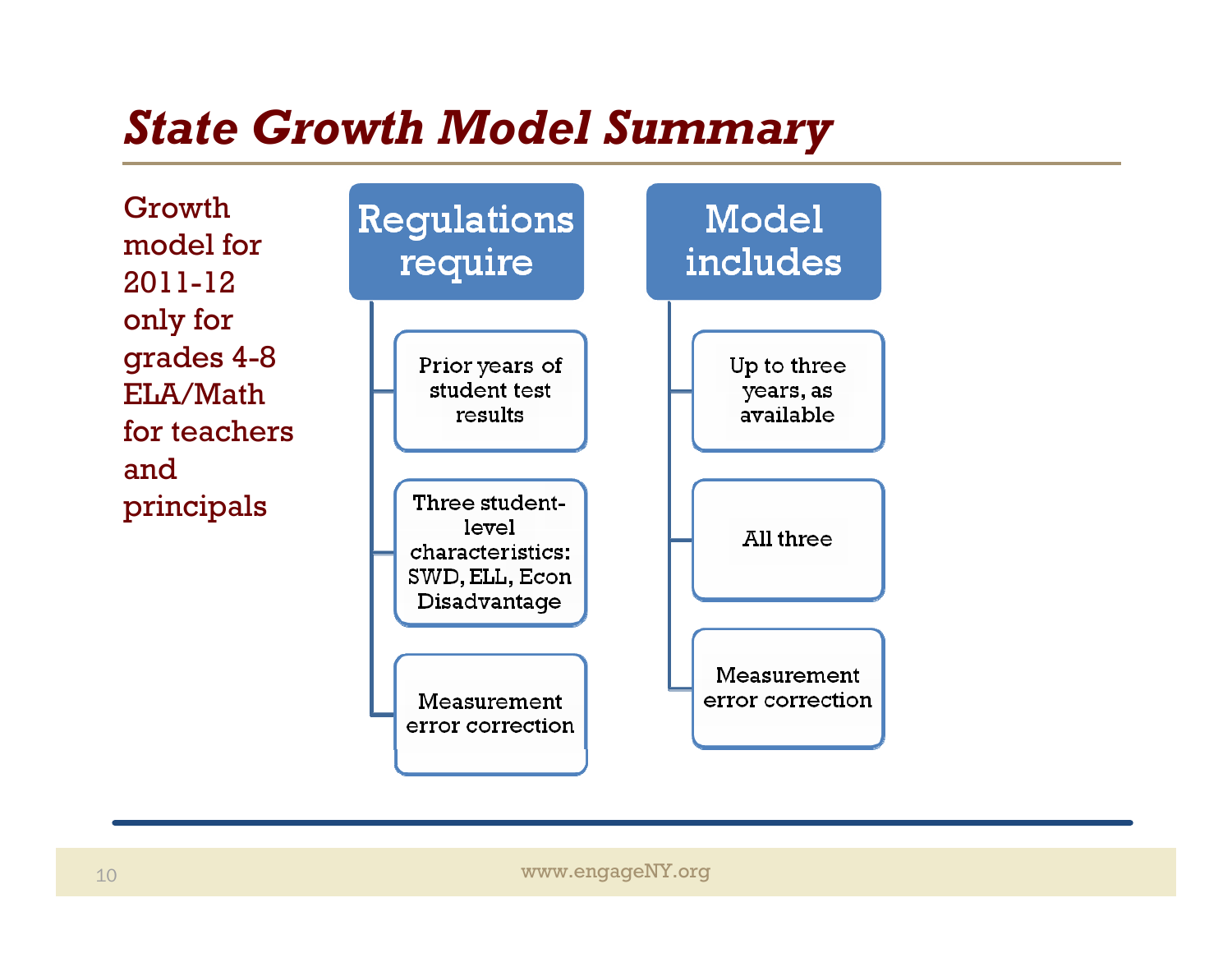## *State Growth Model Summary*

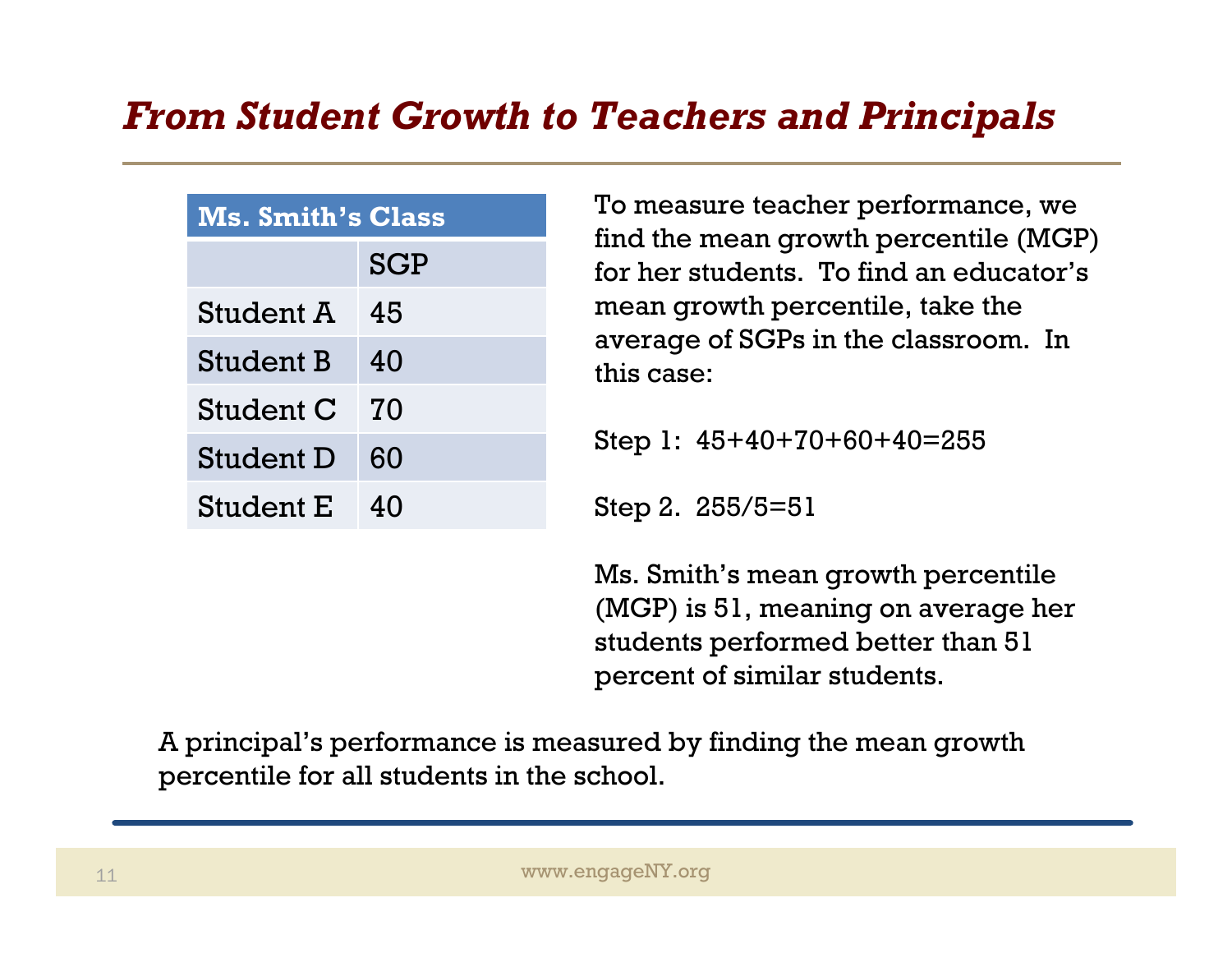#### *From Student Growth to Teachers and Principals*

| <b>Ms. Smith's Class</b> |            |  |
|--------------------------|------------|--|
|                          | <b>SGP</b> |  |
| Student A                | 45         |  |
| <b>Student B</b>         | 40         |  |
| Student C                | 70         |  |
| <b>Student D</b>         | 60         |  |
| <b>Student E</b>         | 40         |  |

To measure teacher performance, we find the mean growth percentile (MGP) for her students. To find an educator's mean growth percentile, take the average of SGPs in the classroom. In this case:

Step 1: 45+40+70+60+40=255

Step 2. 255/5=51

Ms. Smith's mean growth percentile (MGP) is 51, meaning on average her students performed better than 51 percent of similar students.

A principal's performance is measured by finding the mean growth percentile for all students in the school.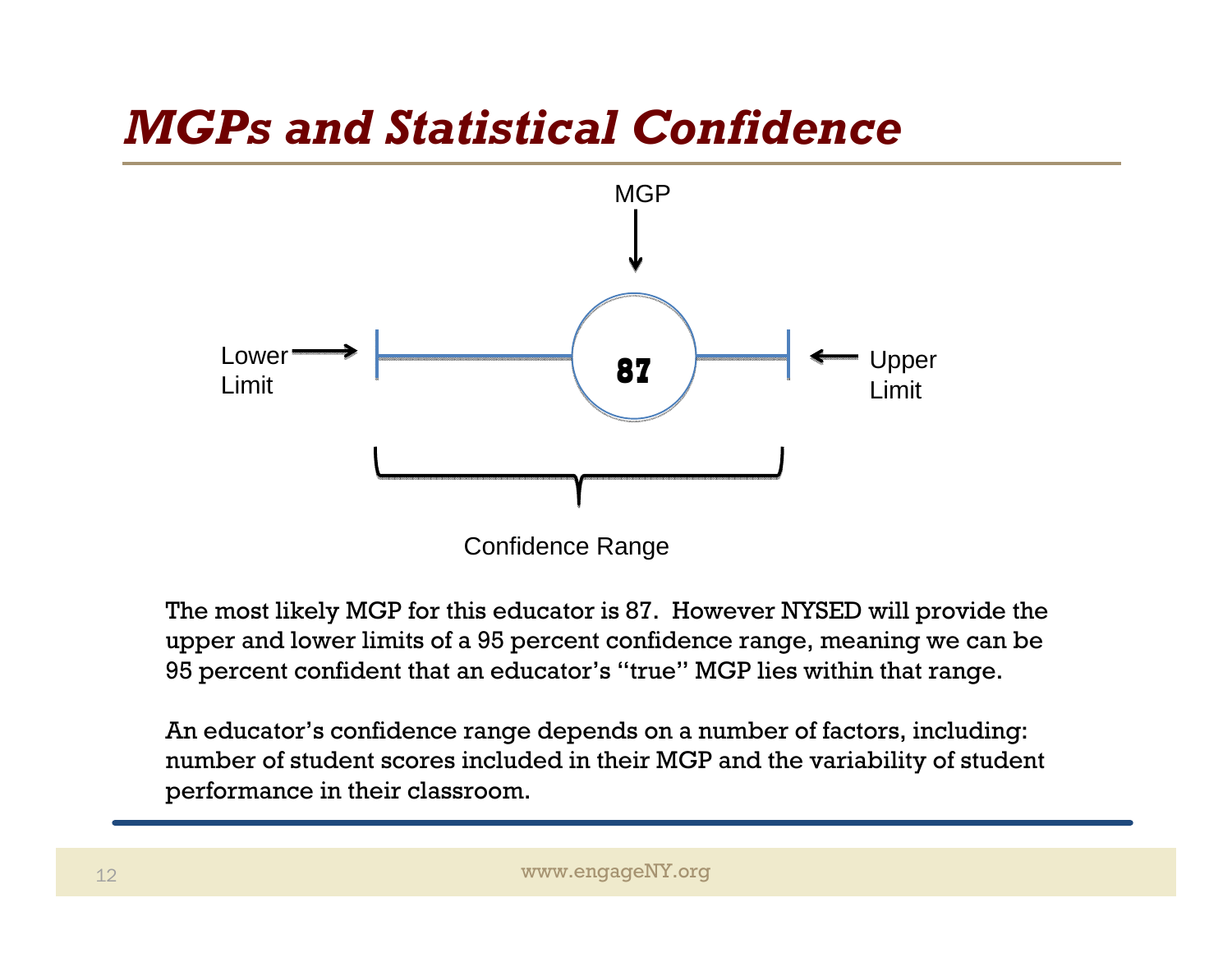## *MGPs and Statistical Confidence*



The most likely MGP for this educator is 87. However NYSED will provide the upper and lower limits of a 95 percent confidence range, meaning we can be 95 percent confident that an educator's "true" MGP lies within that range.

An educator's confidence range depends on a number of factors, including: number of student scores included in their MGP and the variability of student performance in their classroom.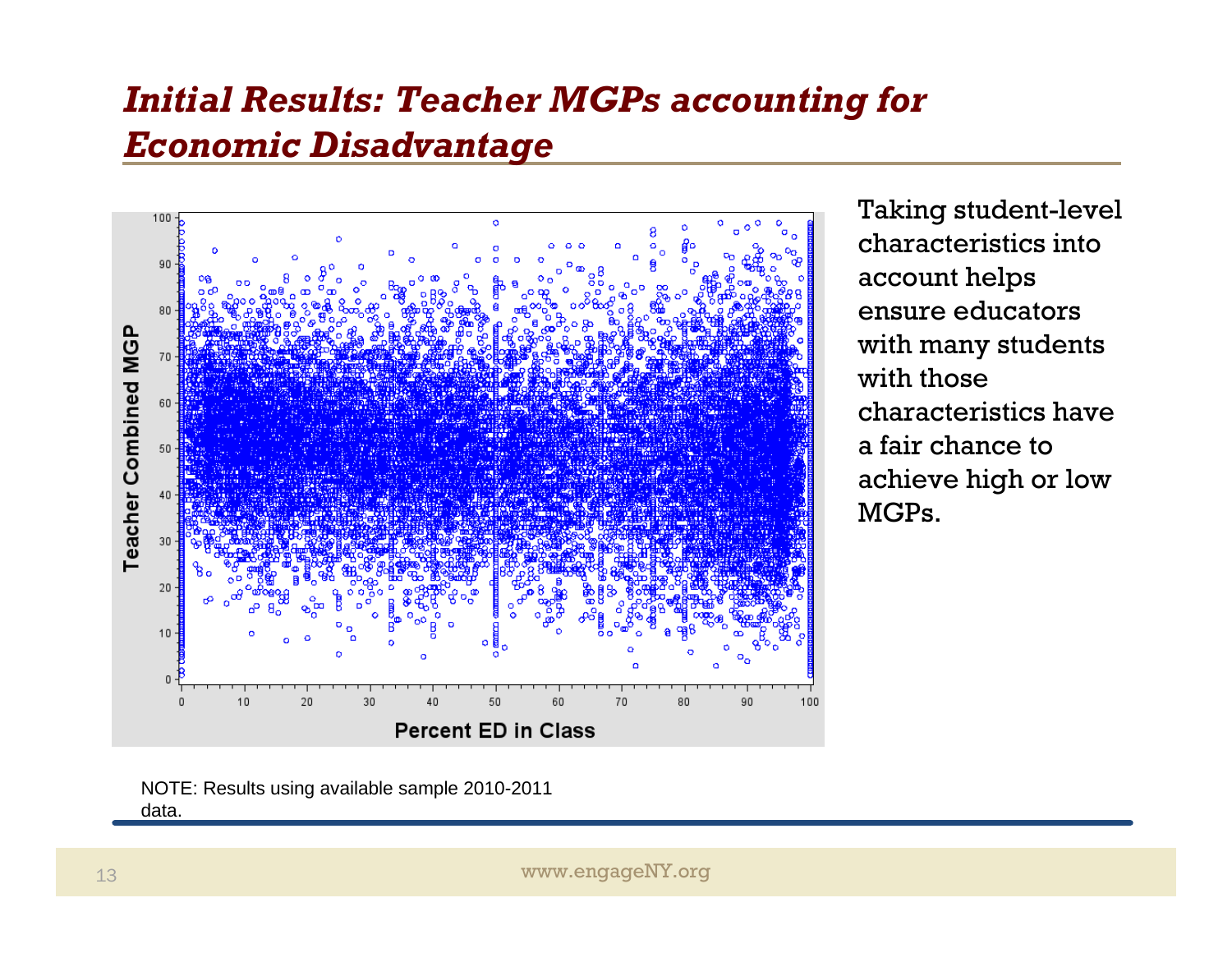#### *Initial Results: Teacher MGPs accounting for Economic Disadvantage*



Taking student-level characteristics into account helps ensure educators with many students with those characteristics have a fair chance to achieve high or low MGPs.

NOTE: Results using available sample 2010-2011 data.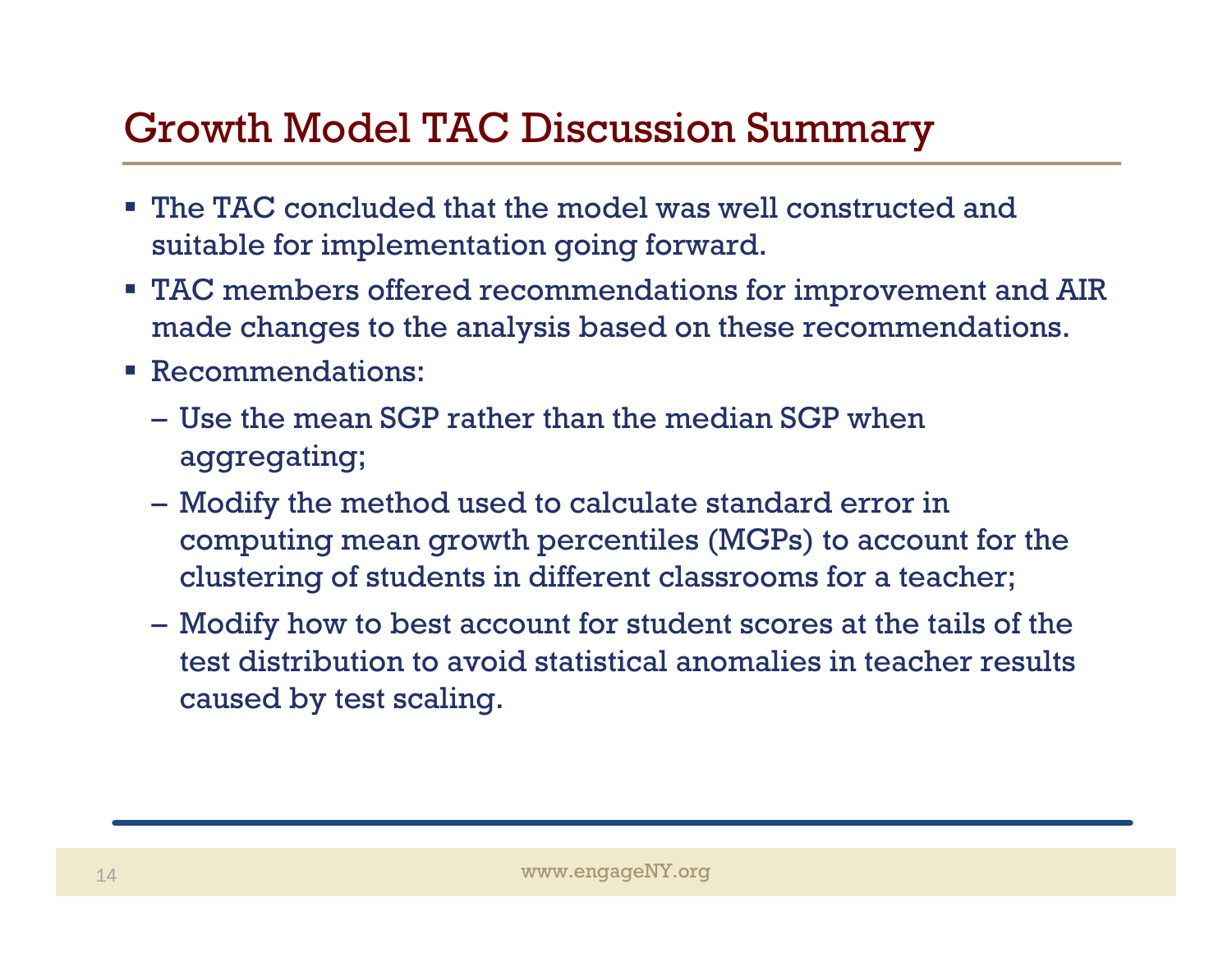#### Growth Model TAC Discussion Summary

- The TAC concluded that the model was well constructed and suitable for implementation going forward.
- TAC members offered recommendations for improvement and AIR made changes to the analysis based on these recommendations.
- Recommendations:
	- Use the mean SGP rather than the median SGP when aggregating;
	- Modify the method used to calculate standard error in computing mean growth percentiles (MGPs) to account for the clustering of students in different classrooms for a teacher;
	- Modify how to best account for student scores at the tails of the test distribution to avoid statistical anomalies in teacher results caused by test scaling.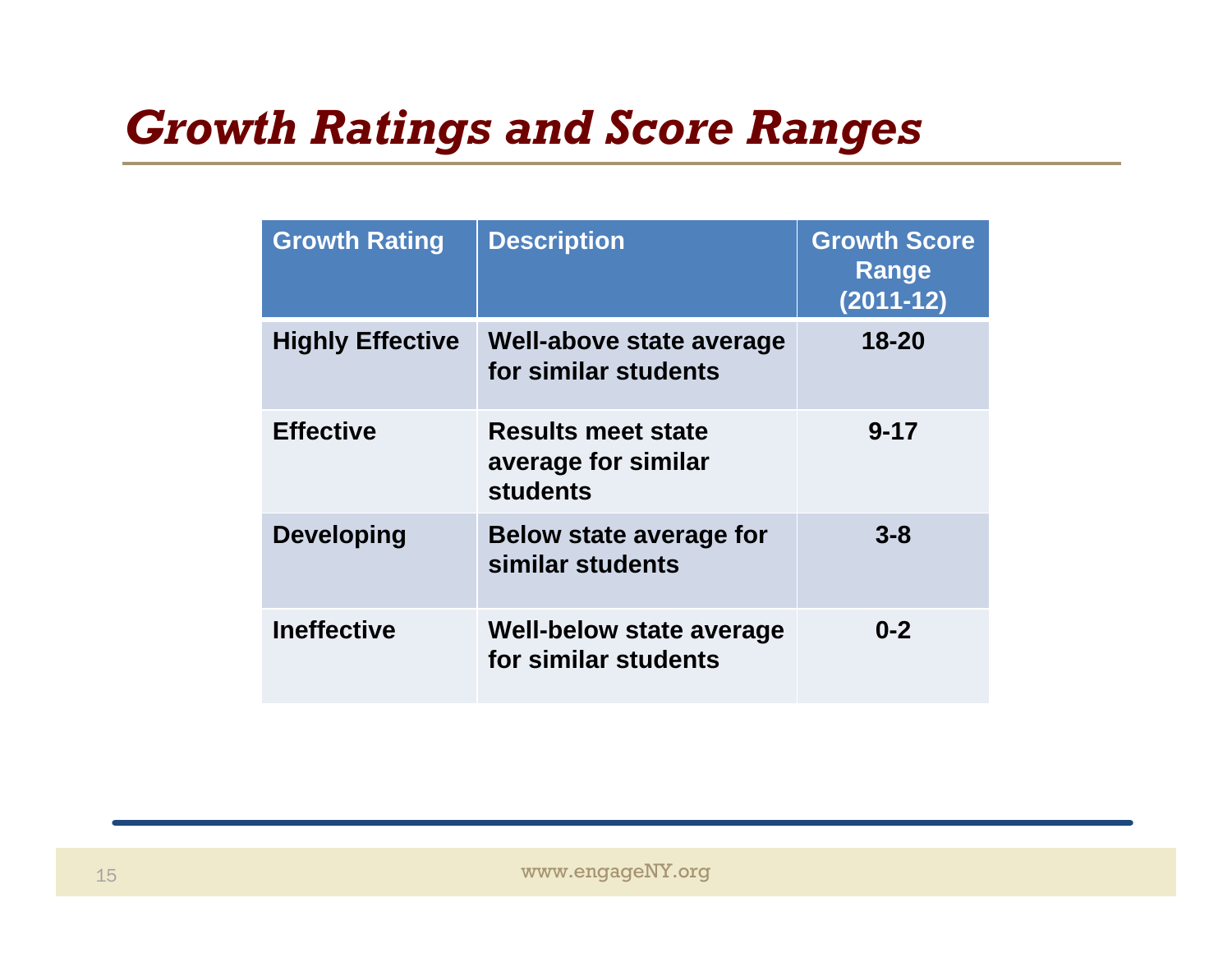## *Growth Ratings and Score Ranges*

| <b>Growth Rating</b>    | <b>Description</b>                                                  | <b>Growth Score</b><br>Range<br>$(2011 - 12)$ |
|-------------------------|---------------------------------------------------------------------|-----------------------------------------------|
| <b>Highly Effective</b> | Well-above state average<br>for similar students                    | 18-20                                         |
| <b>Effective</b>        | <b>Results meet state</b><br>average for similar<br><b>students</b> | $9 - 17$                                      |
| <b>Developing</b>       | Below state average for<br>similar students                         | $3 - 8$                                       |
| <b>Ineffective</b>      | Well-below state average<br>for similar students                    | $0 - 2$                                       |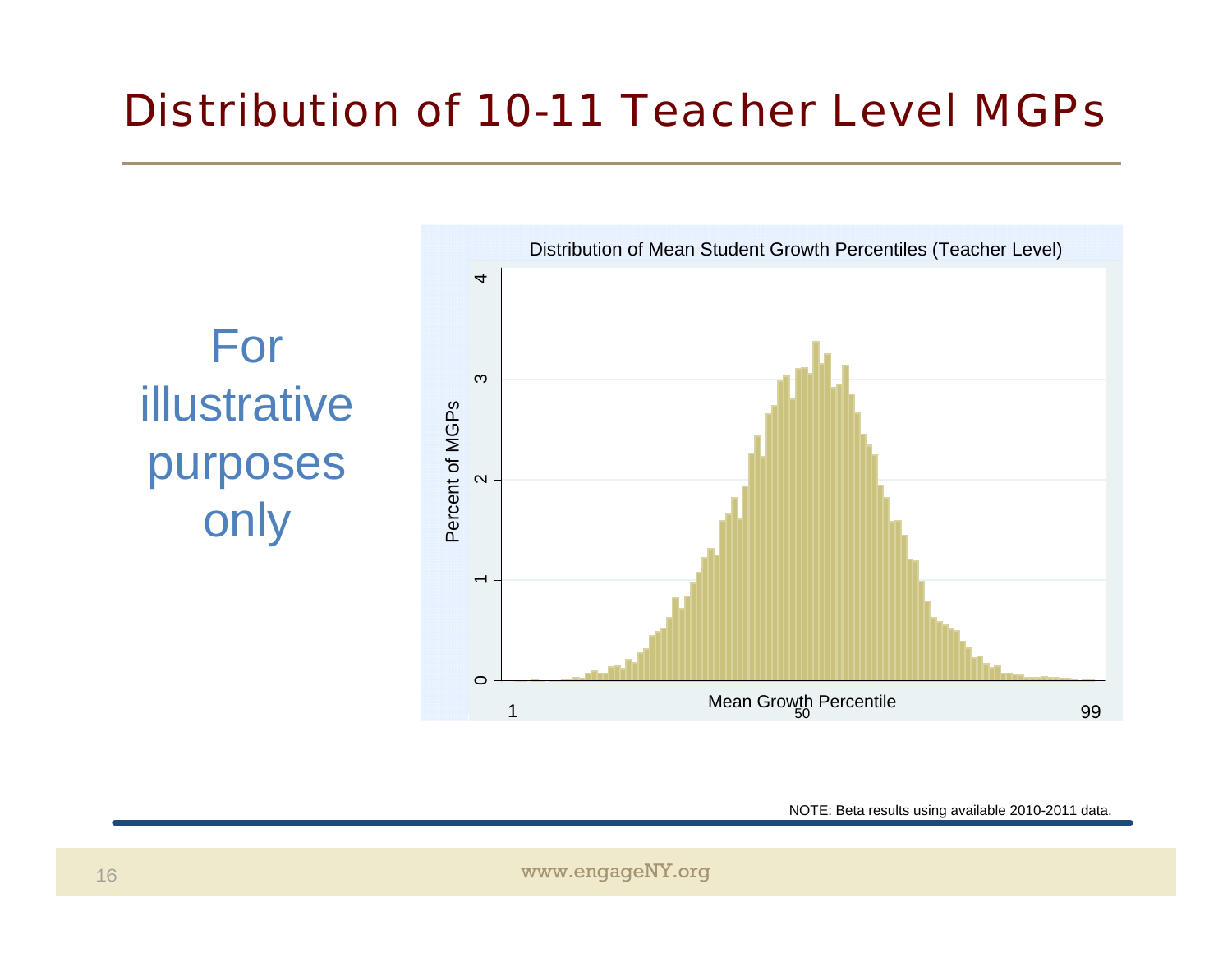#### *Distribution of 10-11 Teacher Level MGPs*



NOTE: Beta results using available 2010-2011 data.

www.engageNY.org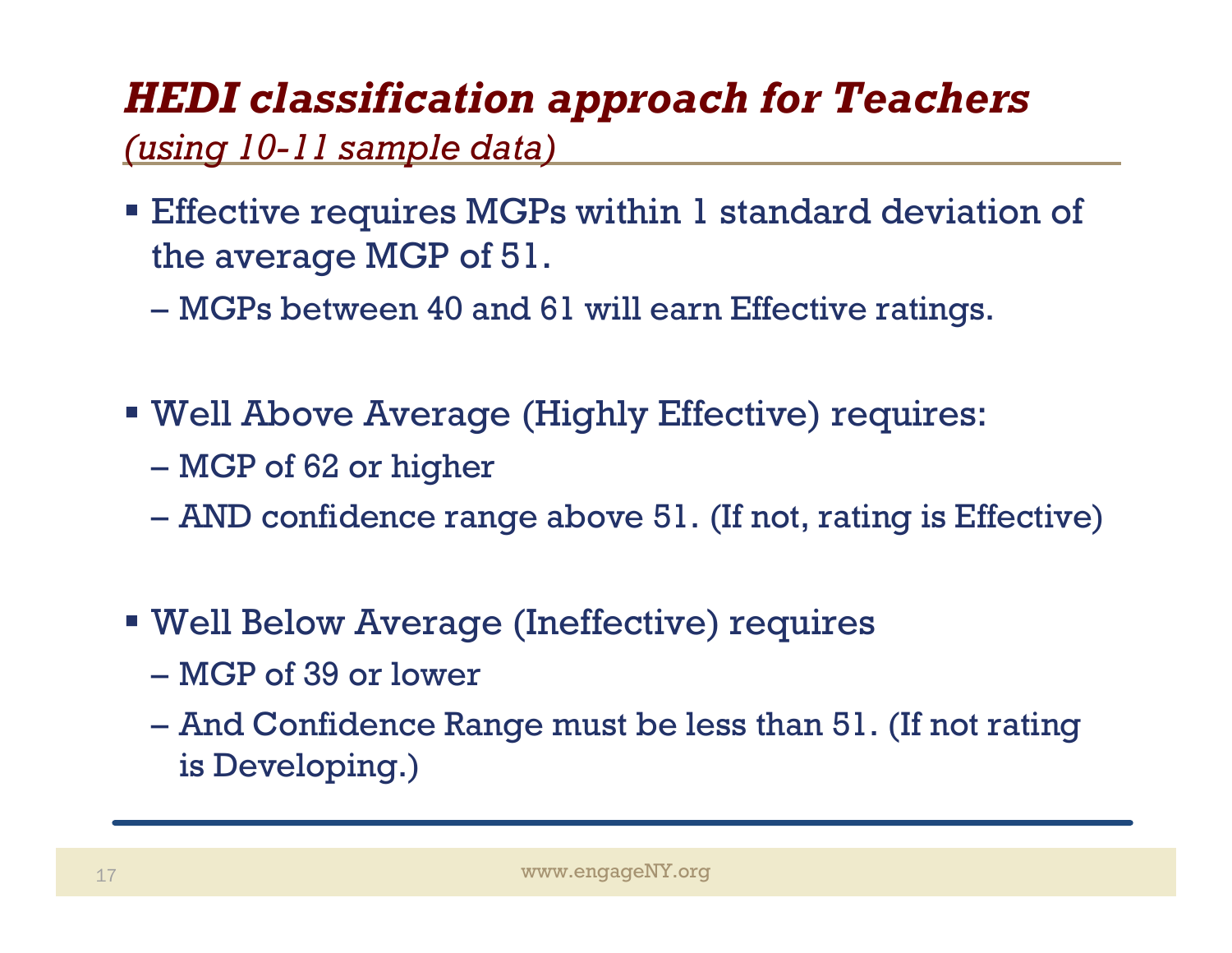## *HEDI classification approach for Teachers*

#### *(using 10-11 sample data)*

- **E** Effective requires MGPs within 1 standard deviation of the average MGP of 51.
	- MGPs between 40 and 61 will earn Effective ratings.
- Well Above Average (Highly Effective) requires:
	- MGP of 62 or higher
	- AND confidence range above 51. (If not, rating is Effective)
- Well Below Average (Ineffective) requires
	- MGP of 39 or lower
	- And Confidence Range must be less than 51. (If not rating is Developing.)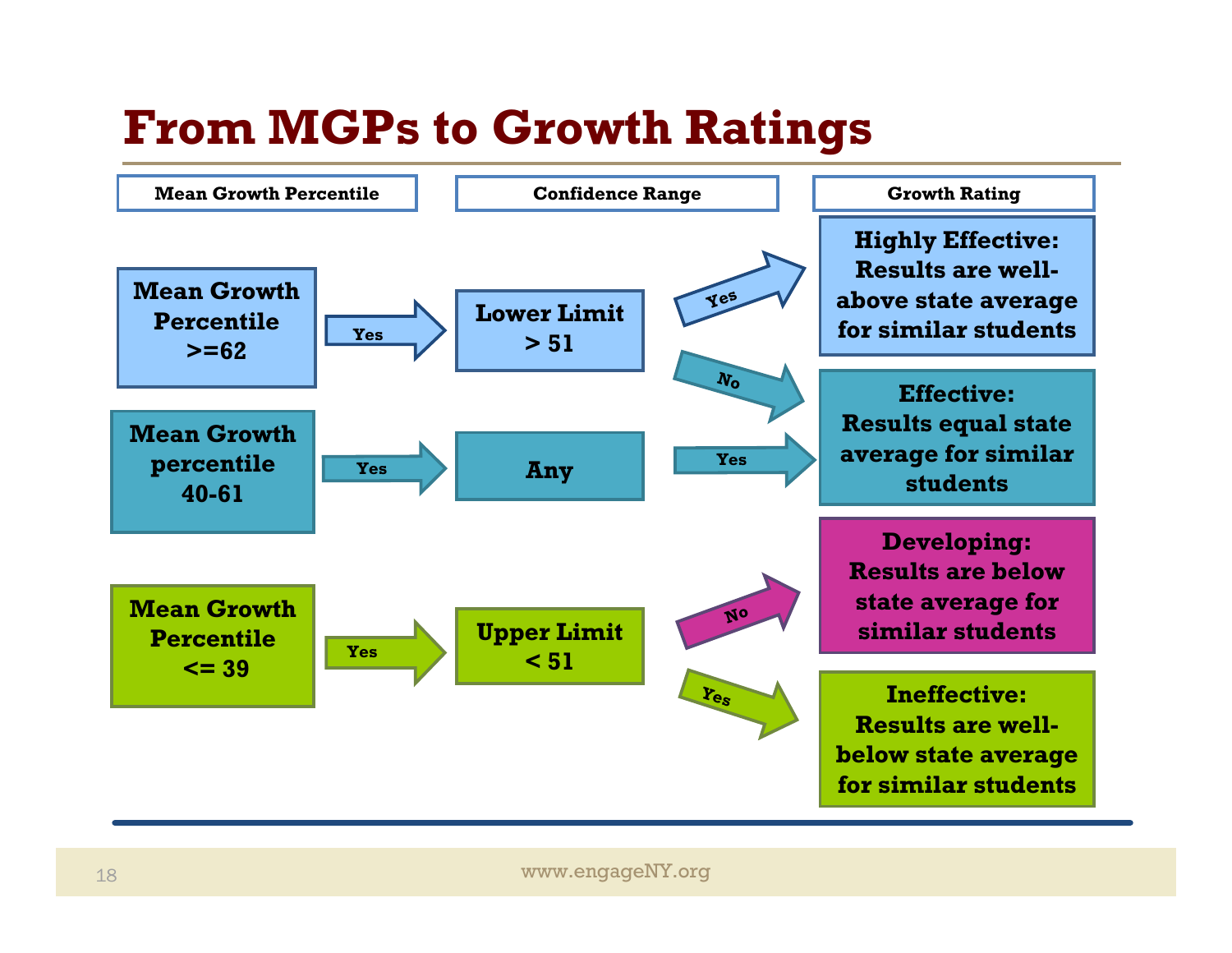## **From MGPs to Growth Ratings**

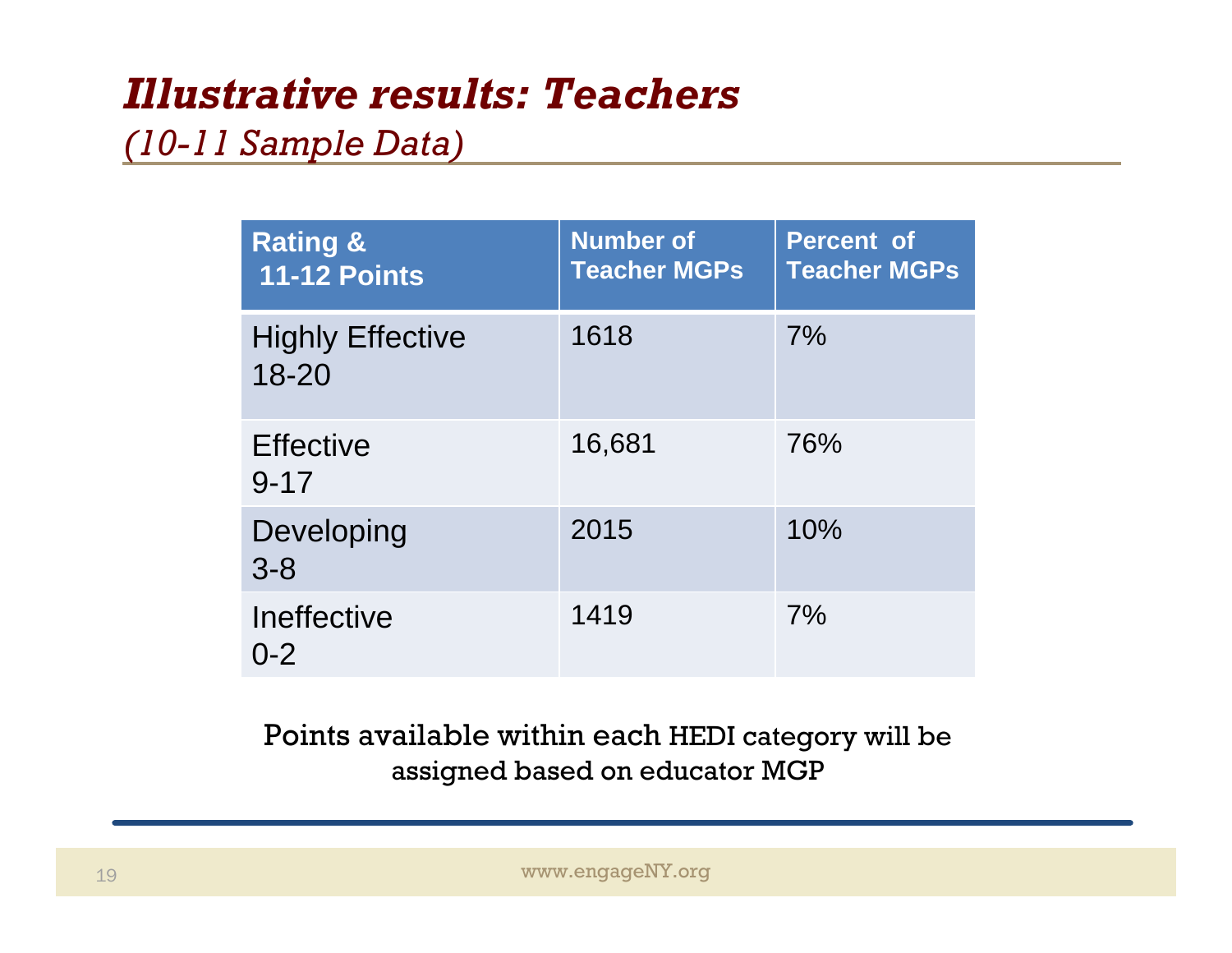## *Illustrative results: Teachers*

#### *(10-11 Sample Data)*

| <b>Rating &amp;</b><br><b>11-12 Points</b> | <b>Number of</b><br><b>Teacher MGPs</b> | <b>Percent of</b><br><b>Teacher MGPs</b> |
|--------------------------------------------|-----------------------------------------|------------------------------------------|
| <b>Highly Effective</b><br>$18 - 20$       | 1618                                    | 7%                                       |
| <b>Effective</b><br>$9 - 17$               | 16,681                                  | 76%                                      |
| Developing<br>$3 - 8$                      | 2015                                    | 10%                                      |
| Ineffective<br>$0 - 2$                     | 1419                                    | 7%                                       |

Points available within each HEDI category will be assigned based on educator MGP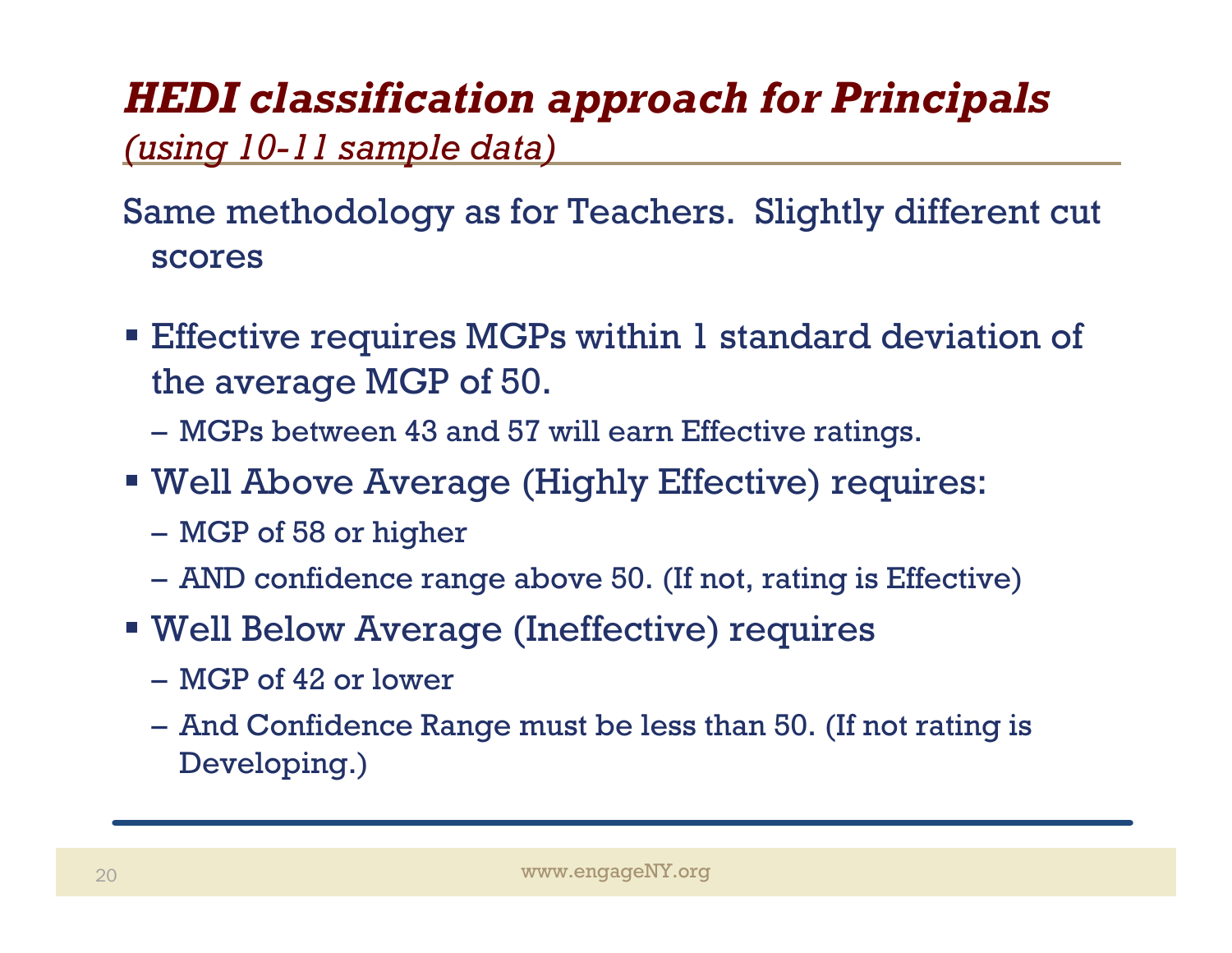## *HEDI classification approach for Principals*

#### *(using 10-11 sample data)*

#### Same methodology as for Teachers. Slightly different cut scores

- **Effective requires MGPs within 1 standard deviation of** the average MGP of 50.
	- MGPs between 43 and 57 will earn Effective ratings.
- Well Above Average (Highly Effective) requires:
	- MGP of 58 or higher
	- AND confidence range above 50. (If not, rating is Effective)
- Well Below Average (Ineffective) requires
	- MGP of 42 or lower
	- And Confidence Range must be less than 50. (If not rating is Developing.)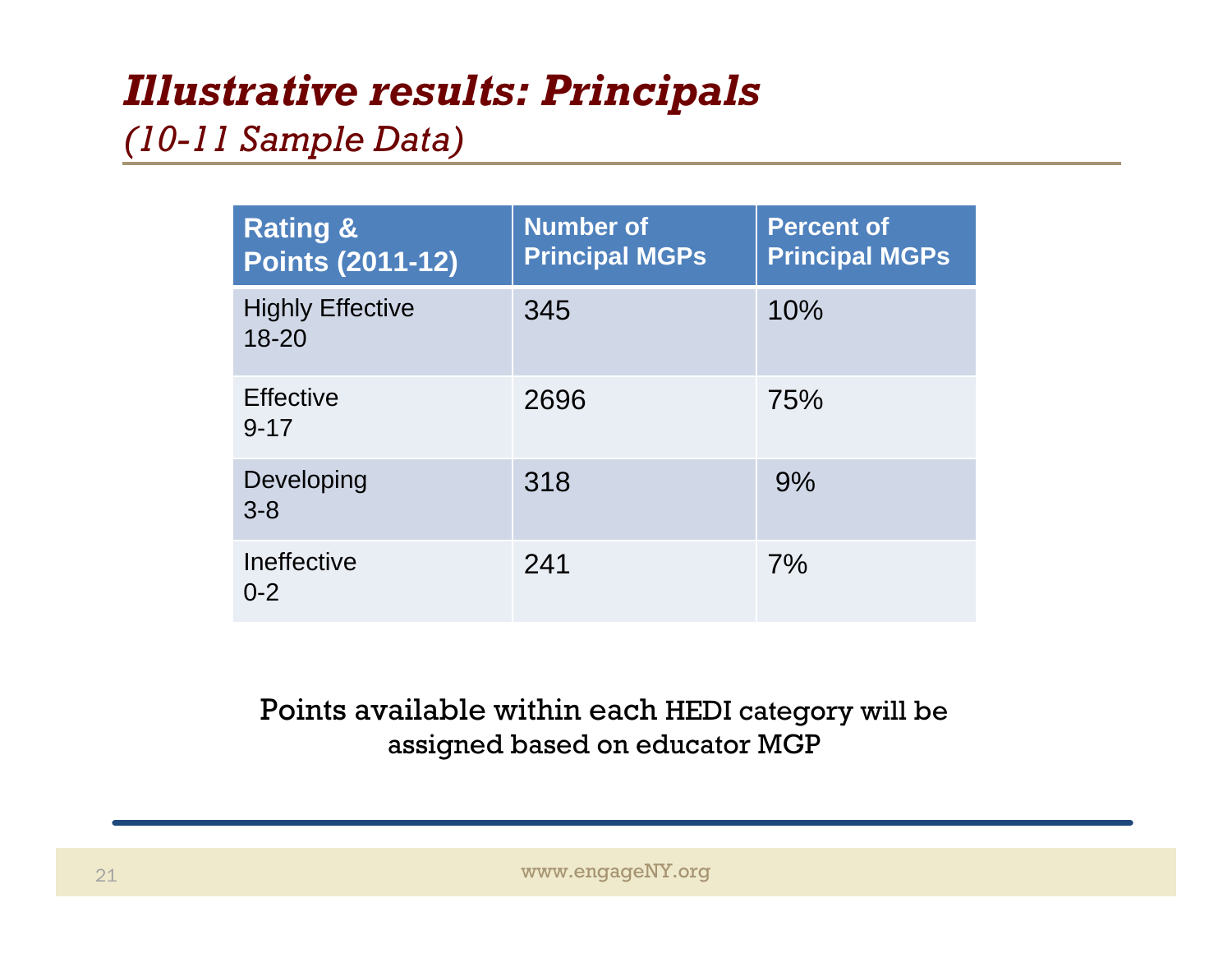#### *Illustrative results: Principals*

#### *(10-11 Sample Data)*

| <b>Rating &amp;</b><br><b>Points (2011-12)</b> | <b>Number of</b><br><b>Principal MGPs</b> | <b>Percent of</b><br><b>Principal MGPs</b> |
|------------------------------------------------|-------------------------------------------|--------------------------------------------|
| <b>Highly Effective</b><br>$18 - 20$           | 345                                       | 10%                                        |
| <b>Effective</b><br>$9 - 17$                   | 2696                                      | <b>75%</b>                                 |
| Developing<br>$3 - 8$                          | 318                                       | 9%                                         |
| Ineffective<br>$0 - 2$                         | 241                                       | 7%                                         |

#### Points available within each HEDI category will be assigned based on educator MGP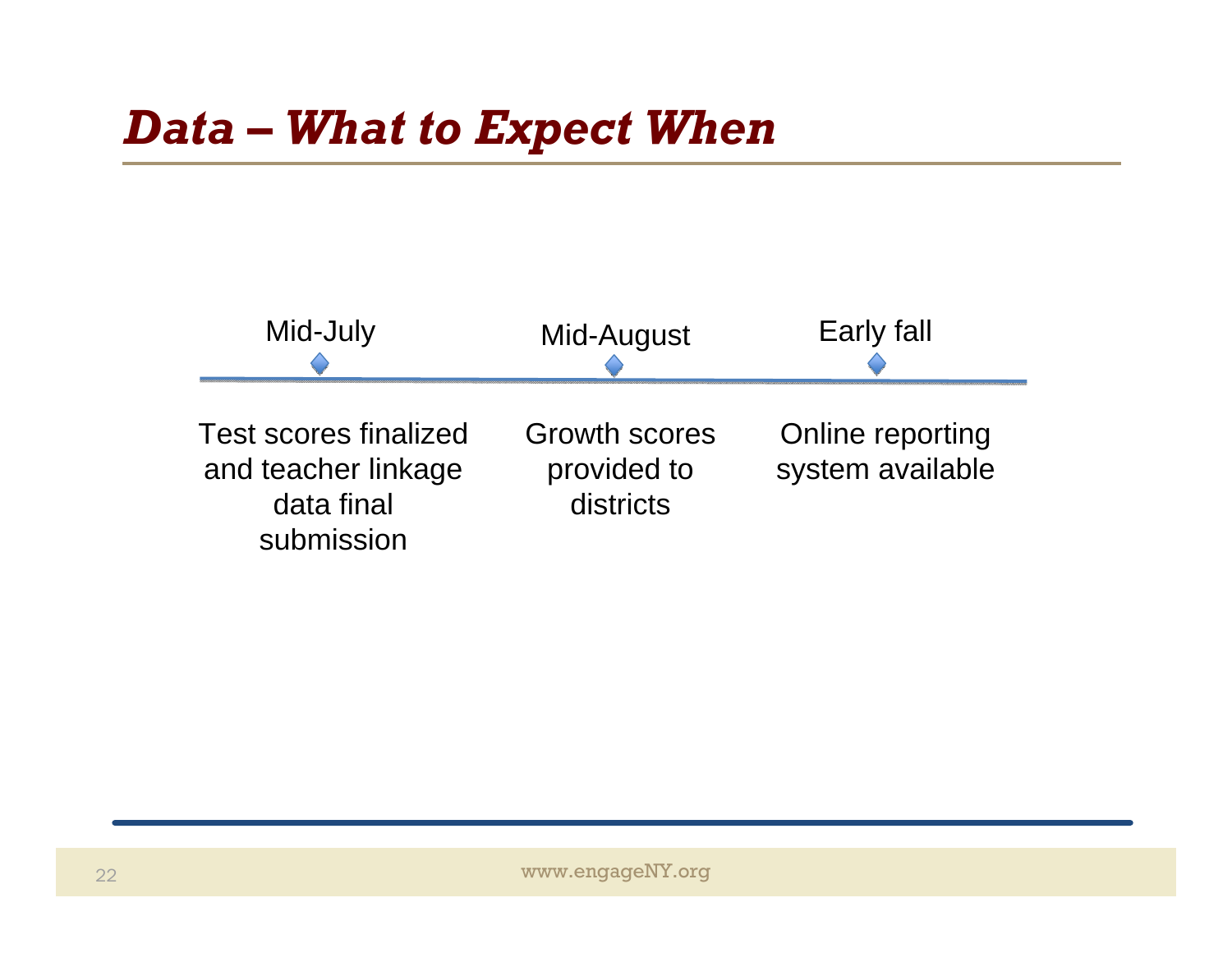

www.engageNY.org www.engageNY.org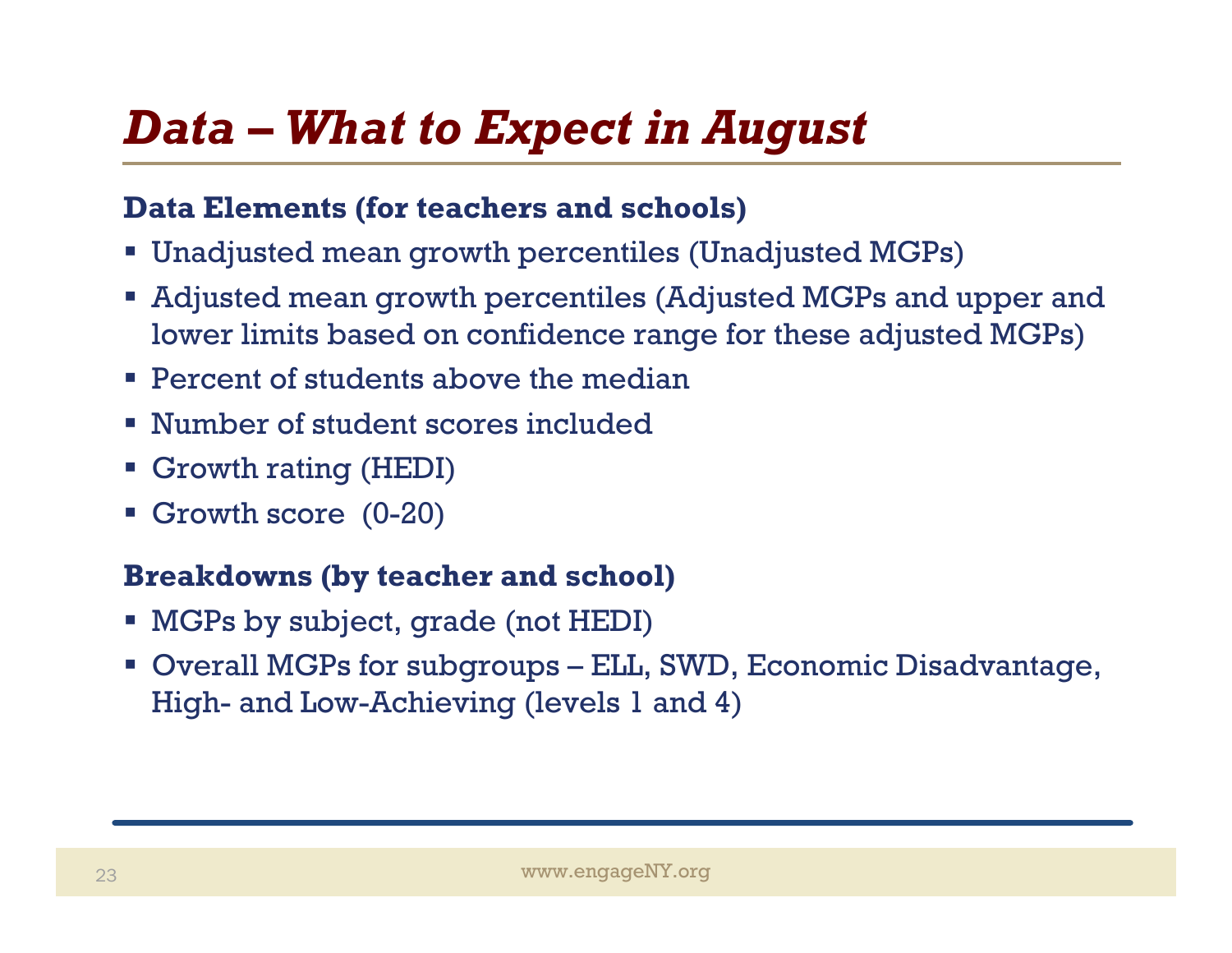## *Data – What to Expect in August*

#### **Data Elements (for teachers and schools)**

- Unadjusted mean growth percentiles (Unadjusted MGPs)
- Adjusted mean growth percentiles (Adjusted MGPs and upper and lower limits based on confidence range for these adjusted MGPs)
- **Percent of students above the median**
- Number of student scores included
- Growth rating (HEDI)
- Growth score (0-20)

#### **Breakdowns (by teacher and school)**

- MGPs by subject, grade (not HEDI)
- Overall MGPs for subgroups ELL, SWD, Economic Disadvantage, High- and Low-Achieving (levels 1 and 4)